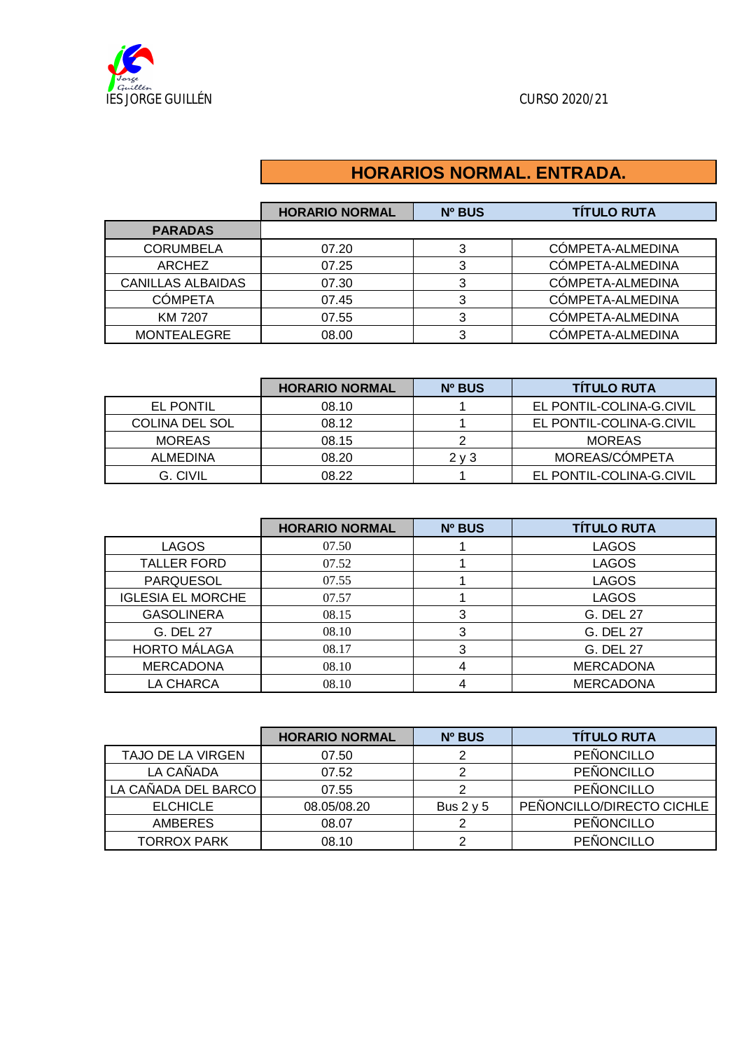

## **HORARIOS NORMAL. ENTRADA.**

|                          | <b>HORARIO NORMAL</b> | Nº BUS | <b>TÍTULO RUTA</b> |
|--------------------------|-----------------------|--------|--------------------|
| <b>PARADAS</b>           |                       |        |                    |
| <b>CORUMBELA</b>         | 07.20                 |        | COMPETA-ALMEDINA   |
| ARCHEZ                   | 07.25                 |        | CÓMPETA-ALMEDINA   |
| <b>CANILLAS ALBAIDAS</b> | 07.30                 |        | CÓMPETA-ALMEDINA   |
| <b>CÓMPETA</b>           | 07.45                 |        | COMPETA-ALMEDINA   |
| KM 7207                  | 07.55                 | っ      | CÓMPETA-ALMEDINA   |
| <b>MONTEALEGRE</b>       | 08.00                 |        | COMPETA-ALMEDINA   |

|                       | <b>HORARIO NORMAL</b> | Nº BUS | <b>TITULO RUTA</b>       |
|-----------------------|-----------------------|--------|--------------------------|
| EL PONTIL             | 08.10                 |        | EL PONTIL-COLINA-G.CIVIL |
| <b>COLINA DEL SOL</b> | 08.12                 |        | EL PONTIL-COLINA-G.CIVIL |
| <b>MOREAS</b>         | 08.15                 |        | <b>MOREAS</b>            |
| ALMEDINA              | 08.20                 | 2 v 3  | MOREAS/CÓMPETA           |
| G. CIVIL              | 08.22                 |        | EL PONTIL-COLINA-G.CIVIL |

|                          | <b>HORARIO NORMAL</b> | <b>Nº BUS</b> | <b>TÍTULO RUTA</b> |
|--------------------------|-----------------------|---------------|--------------------|
| <b>LAGOS</b>             | 07.50                 |               | <b>LAGOS</b>       |
| <b>TALLER FORD</b>       | 07.52                 |               | <b>LAGOS</b>       |
| <b>PARQUESOL</b>         | 07.55                 |               | <b>LAGOS</b>       |
| <b>IGLESIA EL MORCHE</b> | 07.57                 |               | <b>LAGOS</b>       |
| <b>GASOLINERA</b>        | 08.15                 | 3             | G. DEL 27          |
| G. DEL 27                | 08.10                 | 3             | G. DEL 27          |
| <b>HORTO MÁLAGA</b>      | 08.17                 | 3             | G. DEL 27          |
| <b>MERCADONA</b>         | 08.10                 | 4             | <b>MERCADONA</b>   |
| LA CHARCA                | 08.10                 |               | <b>MERCADONA</b>   |

|                     | <b>HORARIO NORMAL</b> | <b>Nº BUS</b>  | <b>TÍTULO RUTA</b>        |
|---------------------|-----------------------|----------------|---------------------------|
| TAJO DE LA VIRGEN   | 07.50                 |                | PEÑONCILLO                |
| LA CAÑADA           | 07.52                 |                | PEÑONCILLO                |
| LA CAÑADA DEL BARCO | 07.55                 |                | PEÑONCILLO                |
| <b>ELCHICLE</b>     | 08.05/08.20           | Bus $2 \vee 5$ | PEÑONCILLO/DIRECTO CICHLE |
| <b>AMBERES</b>      | 08.07                 |                | PEÑONCILLO                |
| <b>TORROX PARK</b>  | 08.10                 |                | PEÑONCILLO                |